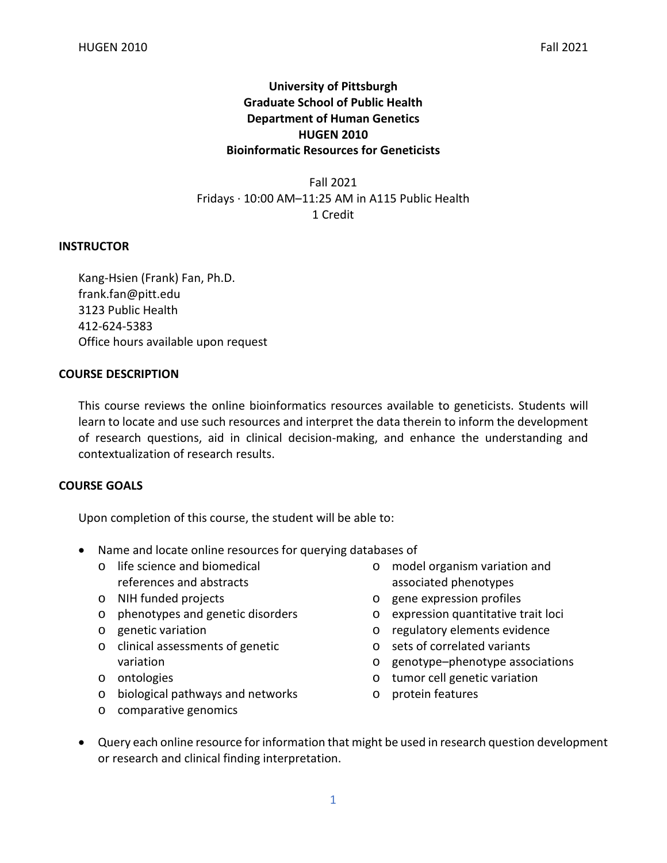## **University of Pittsburgh Graduate School of Public Health Department of Human Genetics HUGEN 2010 Bioinformatic Resources for Geneticists**

Fall 2021 Fridays · 10:00 AM–11:25 AM in A115 Public Health 1 Credit

## **INSTRUCTOR**

Kang-Hsien (Frank) Fan, Ph.D. frank.fan@pitt.edu 3123 Public Health 412-624-5383 Office hours available upon request

## **COURSE DESCRIPTION**

This course reviews the online bioinformatics resources available to geneticists. Students will learn to locate and use such resources and interpret the data therein to inform the development of research questions, aid in clinical decision-making, and enhance the understanding and contextualization of research results.

## **COURSE GOALS**

Upon completion of this course, the student will be able to:

- Name and locate online resources for querying databases of
	- o life science and biomedical references and abstracts
	- o NIH funded projects
	- o phenotypes and genetic disorders
	- o genetic variation
	- o clinical assessments of genetic variation
	- o ontologies
	- o biological pathways and networks
	- o comparative genomics
- o model organism variation and associated phenotypes
- o gene expression profiles
- o expression quantitative trait loci
- o regulatory elements evidence
- o sets of correlated variants
- o genotype–phenotype associations
- o tumor cell genetic variation
- o protein features
- Query each online resource for information that might be used in research question development or research and clinical finding interpretation.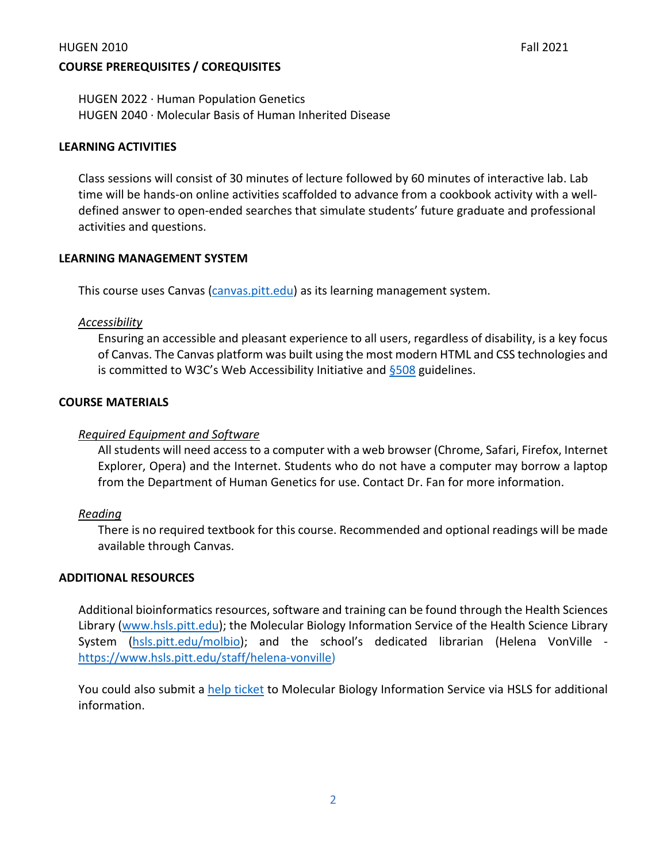#### HUGEN 2010 Fall 2021

## **COURSE PREREQUISITES / COREQUISITES**

HUGEN 2022 · Human Population Genetics HUGEN 2040 · Molecular Basis of Human Inherited Disease

#### **LEARNING ACTIVITIES**

Class sessions will consist of 30 minutes of lecture followed by 60 minutes of interactive lab. Lab time will be hands-on online activities scaffolded to advance from a cookbook activity with a welldefined answer to open-ended searches that simulate students' future graduate and professional activities and questions.

#### **LEARNING MANAGEMENT SYSTEM**

This course uses Canvas [\(canvas.pitt.edu\)](http://canvas.pitt.edu/) as its learning management system.

## *Accessibility*

Ensuring an accessible and pleasant experience to all users, regardless of disability, is a key focus of Canvas. The Canvas platform was built using the most modern HTML and CSS technologies and is committed to W3C's Web Accessibility Initiative and  $§508$  guidelines.

#### **COURSE MATERIALS**

## *Required Equipment and Software*

All students will need access to a computer with a web browser (Chrome, Safari, Firefox, Internet Explorer, Opera) and the Internet. Students who do not have a computer may borrow a laptop from the Department of Human Genetics for use. Contact Dr. Fan for more information.

#### *Reading*

There is no required textbook for this course. Recommended and optional readings will be made available through Canvas.

#### **ADDITIONAL RESOURCES**

Additional bioinformatics resources, software and training can be found through the Health Sciences Library [\(www.hsls.pitt.edu\)](http://www.hsls.pitt.edu/); the Molecular Biology Information Service of the Health Science Library System [\(hsls.pitt.edu/molbio\)](http://hsls.pitt.edu/molbio); and the school's dedicated librarian (Helena VonVille [https://www.hsls.pitt.edu/staff/helena-vonville\)](https://www.hsls.pitt.edu/staff/helena-vonville)

You could also submit a [help ticket](https://www.hsls.pitt.edu/ask-a-molbio-specialist) to Molecular Biology Information Service via HSLS for additional information.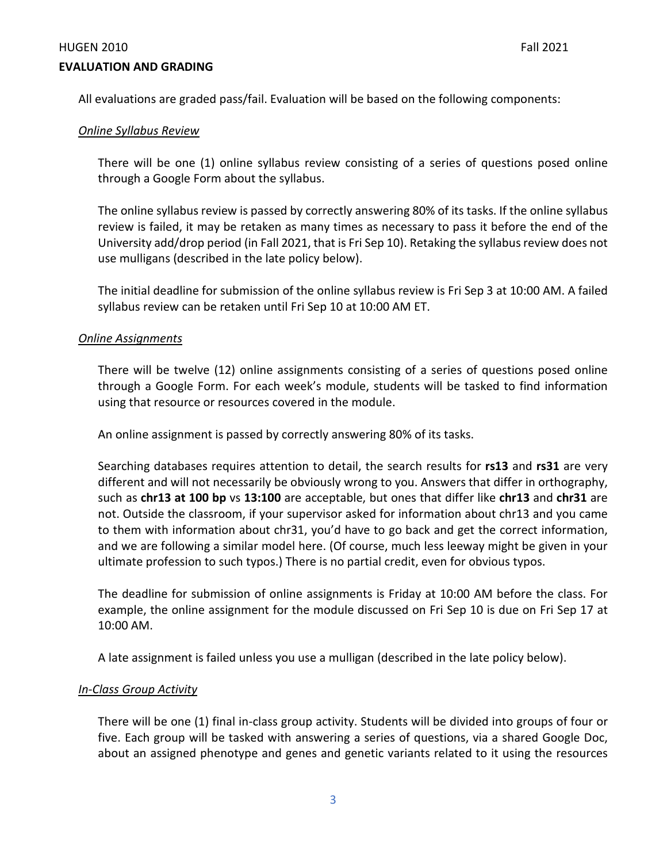#### HUGEN 2010 Fall 2021

#### **EVALUATION AND GRADING**

All evaluations are graded pass/fail. Evaluation will be based on the following components:

#### *Online Syllabus Review*

There will be one (1) online syllabus review consisting of a series of questions posed online through a Google Form about the syllabus.

The online syllabus review is passed by correctly answering 80% of its tasks. If the online syllabus review is failed, it may be retaken as many times as necessary to pass it before the end of the University add/drop period (in Fall 2021, that is Fri Sep 10). Retaking the syllabus review does not use mulligans (described in the late policy below).

The initial deadline for submission of the online syllabus review is Fri Sep 3 at 10:00 AM. A failed syllabus review can be retaken until Fri Sep 10 at 10:00 AM ET.

#### *Online Assignments*

There will be twelve (12) online assignments consisting of a series of questions posed online through a Google Form. For each week's module, students will be tasked to find information using that resource or resources covered in the module.

An online assignment is passed by correctly answering 80% of its tasks.

Searching databases requires attention to detail, the search results for **rs13** and **rs31** are very different and will not necessarily be obviously wrong to you. Answers that differ in orthography, such as **chr13 at 100 bp** vs **13:100** are acceptable, but ones that differ like **chr13** and **chr31** are not. Outside the classroom, if your supervisor asked for information about chr13 and you came to them with information about chr31, you'd have to go back and get the correct information, and we are following a similar model here. (Of course, much less leeway might be given in your ultimate profession to such typos.) There is no partial credit, even for obvious typos.

The deadline for submission of online assignments is Friday at 10:00 AM before the class. For example, the online assignment for the module discussed on Fri Sep 10 is due on Fri Sep 17 at 10:00 AM.

A late assignment is failed unless you use a mulligan (described in the late policy below).

#### *In-Class Group Activity*

There will be one (1) final in-class group activity. Students will be divided into groups of four or five. Each group will be tasked with answering a series of questions, via a shared Google Doc, about an assigned phenotype and genes and genetic variants related to it using the resources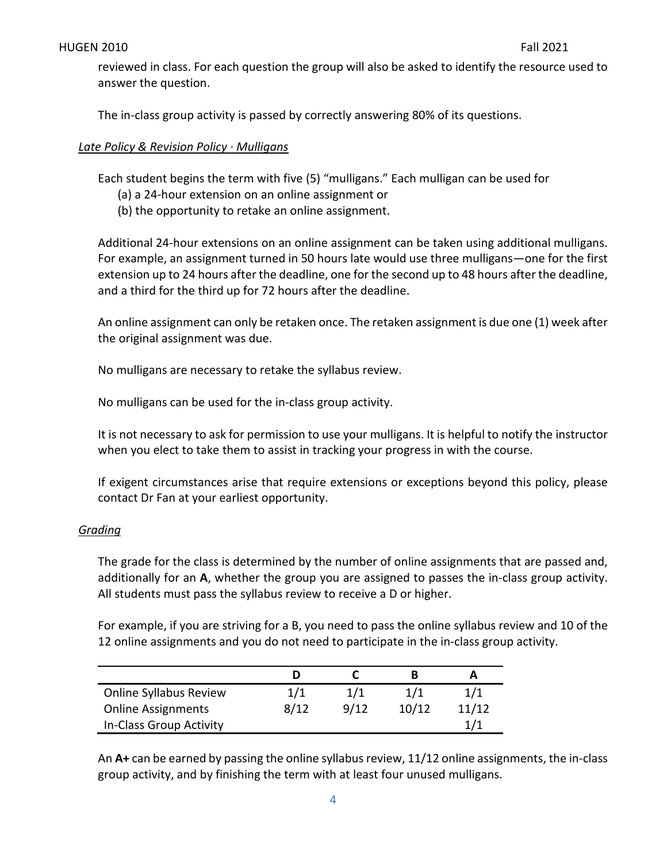reviewed in class. For each question the group will also be asked to identify the resource used to answer the question.

The in-class group activity is passed by correctly answering 80% of its questions.

## *Late Policy & Revision Policy · Mulligans*

Each student begins the term with five (5) "mulligans." Each mulligan can be used for

- (a) a 24-hour extension on an online assignment or
- (b) the opportunity to retake an online assignment.

Additional 24-hour extensions on an online assignment can be taken using additional mulligans. For example, an assignment turned in 50 hours late would use three mulligans—one for the first extension up to 24 hours after the deadline, one for the second up to 48 hours after the deadline, and a third for the third up for 72 hours after the deadline.

An online assignment can only be retaken once. The retaken assignment is due one (1) week after the original assignment was due.

No mulligans are necessary to retake the syllabus review.

No mulligans can be used for the in-class group activity.

It is not necessary to ask for permission to use your mulligans. It is helpful to notify the instructor when you elect to take them to assist in tracking your progress in with the course.

If exigent circumstances arise that require extensions or exceptions beyond this policy, please contact Dr Fan at your earliest opportunity.

#### *Grading*

The grade for the class is determined by the number of online assignments that are passed and, additionally for an **A**, whether the group you are assigned to passes the in-class group activity. All students must pass the syllabus review to receive a D or higher.

For example, if you are striving for a B, you need to pass the online syllabus review and 10 of the 12 online assignments and you do not need to participate in the in-class group activity.

| <b>Online Syllabus Review</b> | 1/1  | 1/1  | 1/1   | 1/1   |
|-------------------------------|------|------|-------|-------|
| <b>Online Assignments</b>     | 8/12 | 9/12 | 10/12 | 11/12 |
| In-Class Group Activity       |      |      |       | 1/1   |

An **A+** can be earned by passing the online syllabus review, 11/12 online assignments, the in-class group activity, and by finishing the term with at least four unused mulligans.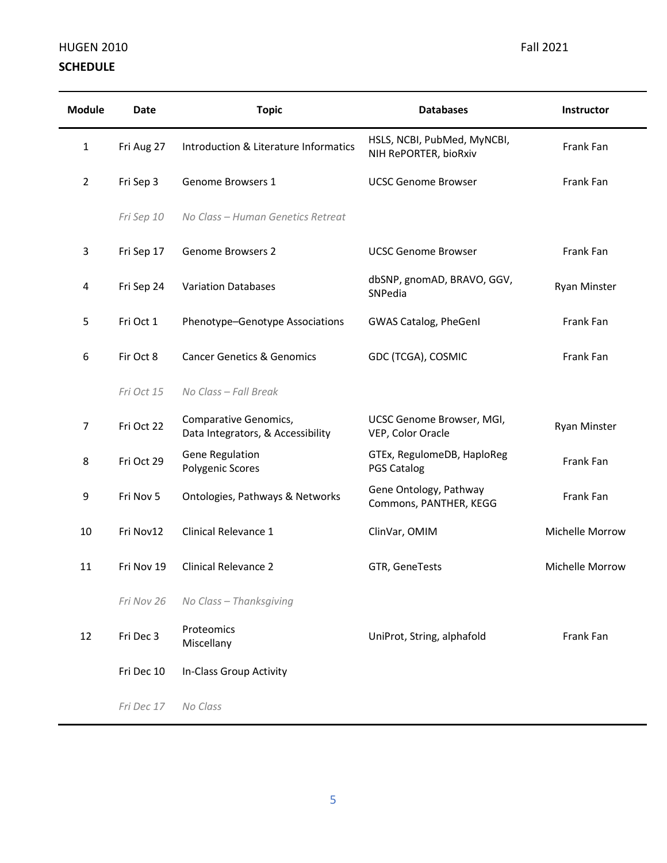# HUGEN 2010 **Fall 2021 SCHEDULE**

| <b>Module</b>  | <b>Date</b> | <b>Topic</b>                                               | <b>Databases</b>                                     | Instructor          |
|----------------|-------------|------------------------------------------------------------|------------------------------------------------------|---------------------|
| 1              | Fri Aug 27  | Introduction & Literature Informatics                      | HSLS, NCBI, PubMed, MyNCBI,<br>NIH RePORTER, bioRxiv | Frank Fan           |
| $\overline{2}$ | Fri Sep 3   | Genome Browsers 1                                          | <b>UCSC Genome Browser</b>                           | Frank Fan           |
|                | Fri Sep 10  | No Class - Human Genetics Retreat                          |                                                      |                     |
| 3              | Fri Sep 17  | Genome Browsers 2                                          | <b>UCSC Genome Browser</b>                           | Frank Fan           |
| 4              | Fri Sep 24  | <b>Variation Databases</b>                                 | dbSNP, gnomAD, BRAVO, GGV,<br>SNPedia                | <b>Ryan Minster</b> |
| 5              | Fri Oct 1   | Phenotype-Genotype Associations                            | GWAS Catalog, PheGenI                                | Frank Fan           |
| 6              | Fir Oct 8   | <b>Cancer Genetics &amp; Genomics</b>                      | GDC (TCGA), COSMIC                                   | Frank Fan           |
|                | Fri Oct 15  | No Class - Fall Break                                      |                                                      |                     |
| 7              | Fri Oct 22  | Comparative Genomics,<br>Data Integrators, & Accessibility | UCSC Genome Browser, MGI,<br>VEP, Color Oracle       | <b>Ryan Minster</b> |
| 8              | Fri Oct 29  | Gene Regulation<br>Polygenic Scores                        | GTEx, RegulomeDB, HaploReg<br><b>PGS Catalog</b>     | Frank Fan           |
| 9              | Fri Nov 5   | Ontologies, Pathways & Networks                            | Gene Ontology, Pathway<br>Commons, PANTHER, KEGG     | Frank Fan           |
| 10             | Fri Nov12   | Clinical Relevance 1                                       | ClinVar, OMIM                                        | Michelle Morrow     |
| 11             | Fri Nov 19  | <b>Clinical Relevance 2</b>                                | GTR, GeneTests                                       | Michelle Morrow     |
|                | Fri Nov 26  | No Class - Thanksgiving                                    |                                                      |                     |
| 12             | Fri Dec 3   | Proteomics<br>Miscellany                                   | UniProt, String, alphafold                           | Frank Fan           |
|                | Fri Dec 10  | In-Class Group Activity                                    |                                                      |                     |
|                | Fri Dec 17  | No Class                                                   |                                                      |                     |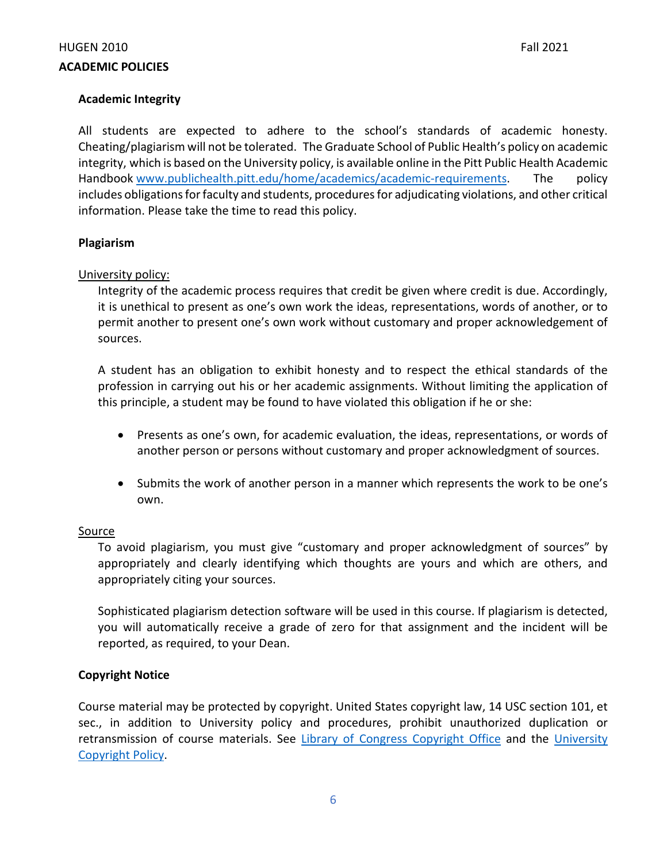## **Academic Integrity**

All students are expected to adhere to the school's standards of academic honesty. Cheating/plagiarism will not be tolerated. The Graduate School of Public Health's policy on academic integrity, which is based on the University policy, is available online in the Pitt Public Health Academic Handbook [www.publichealth.pitt.edu/home/academics/academic-requirements.](https://na01.safelinks.protection.outlook.com/?url=http%3A%2F%2Fwww.publichealth.pitt.edu%2Fhome%2Facademics%2Facademic-requirements&data=01%7C01%7CRobin.Leaf%40pitt.edu%7Cd2b682f8df1344a1488b08d5f7078713%7C9ef9f489e0a04eeb87cc3a526112fd0d%7C1&sdata=6ufA2nSlUetTPqxC3zE70WlE7mLMvNKznCNB7nQHwj0%3D&reserved=0) The policy includes obligations for faculty and students, procedures for adjudicating violations, and other critical information. Please take the time to read this policy.

#### **Plagiarism**

#### University policy:

Integrity of the academic process requires that credit be given where credit is due. Accordingly, it is unethical to present as one's own work the ideas, representations, words of another, or to permit another to present one's own work without customary and proper acknowledgement of sources.

A student has an obligation to exhibit honesty and to respect the ethical standards of the profession in carrying out his or her academic assignments. Without limiting the application of this principle, a student may be found to have violated this obligation if he or she:

- Presents as one's own, for academic evaluation, the ideas, representations, or words of another person or persons without customary and proper acknowledgment of sources.
- Submits the work of another person in a manner which represents the work to be one's own.

#### Source

To avoid plagiarism, you must give "customary and proper acknowledgment of sources" by appropriately and clearly identifying which thoughts are yours and which are others, and appropriately citing your sources.

Sophisticated plagiarism detection software will be used in this course. If plagiarism is detected, you will automatically receive a grade of zero for that assignment and the incident will be reported, as required, to your Dean.

## **Copyright Notice**

Course material may be protected by copyright. United States copyright law, 14 USC section 101, et sec., in addition to University policy and procedures, prohibit unauthorized duplication or retransmission of course materials. See [Library of Congress Copyright Office](http://www.copyright.gov/) and the [University](https://www.policy.pitt.edu/cs-03-copying-copyrighted-material-formerly-10-04-01)  [Copyright Policy.](https://www.policy.pitt.edu/cs-03-copying-copyrighted-material-formerly-10-04-01)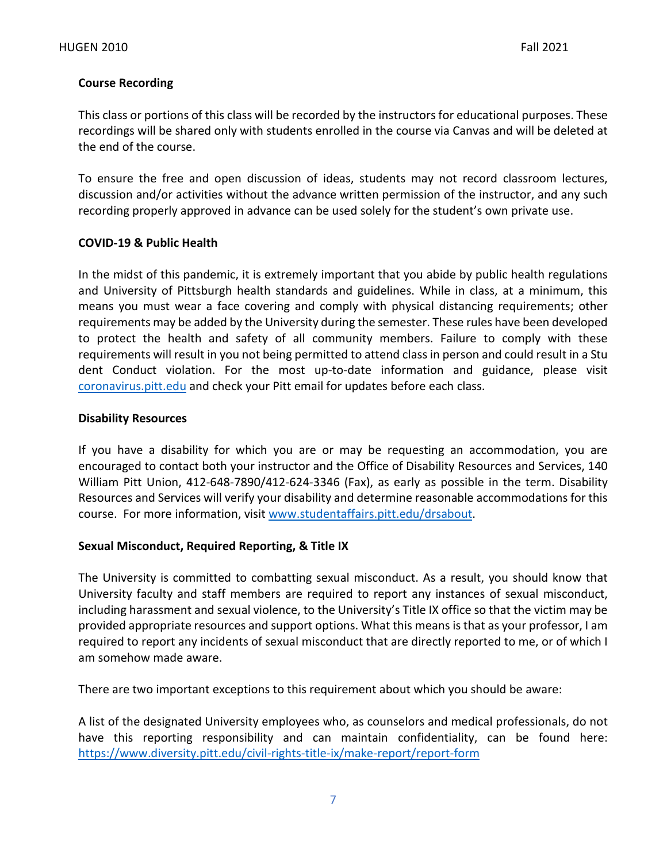## **Course Recording**

This class or portions of this class will be recorded by the instructors for educational purposes. These recordings will be shared only with students enrolled in the course via Canvas and will be deleted at the end of the course.

To ensure the free and open discussion of ideas, students may not record classroom lectures, discussion and/or activities without the advance written permission of the instructor, and any such recording properly approved in advance can be used solely for the student's own private use.

## **COVID-19 & Public Health**

In the midst of this pandemic, it is extremely important that you abide by public health regulations and University of Pittsburgh health standards and guidelines. While in class, at a minimum, this means you must wear a face covering and comply with physical distancing requirements; other requirements may be added by the University during the semester. These rules have been developed to protect the health and safety of all community members. Failure to comply with these requirements will result in you not being permitted to attend class in person and could result in a Stu dent Conduct violation. For the most up-to-date information and guidance, please visit [coronavirus.pitt.edu](http://coronavirus.pitt.edu/) and check your Pitt email for updates before each class.

#### **Disability Resources**

If you have a disability for which you are or may be requesting an accommodation, you are encouraged to contact both your instructor and the Office of Disability Resources and Services, 140 William Pitt Union, 412-648-7890/412-624-3346 (Fax), as early as possible in the term. Disability Resources and Services will verify your disability and determine reasonable accommodations for this course. For more information, visit [www.studentaffairs.pitt.edu/drsabout.](http://www.studentaffairs.pitt.edu/drsabout)

## **Sexual Misconduct, Required Reporting, & Title IX**

The University is committed to combatting sexual misconduct. As a result, you should know that University faculty and staff members are required to report any instances of sexual misconduct, including harassment and sexual violence, to the University's Title IX office so that the victim may be provided appropriate resources and support options. What this means is that as your professor, I am required to report any incidents of sexual misconduct that are directly reported to me, or of which I am somehow made aware.

There are two important exceptions to this requirement about which you should be aware:

A list of the designated University employees who, as counselors and medical professionals, do not have this reporting responsibility and can maintain confidentiality, can be found here: <https://www.diversity.pitt.edu/civil-rights-title-ix/make-report/report-form>